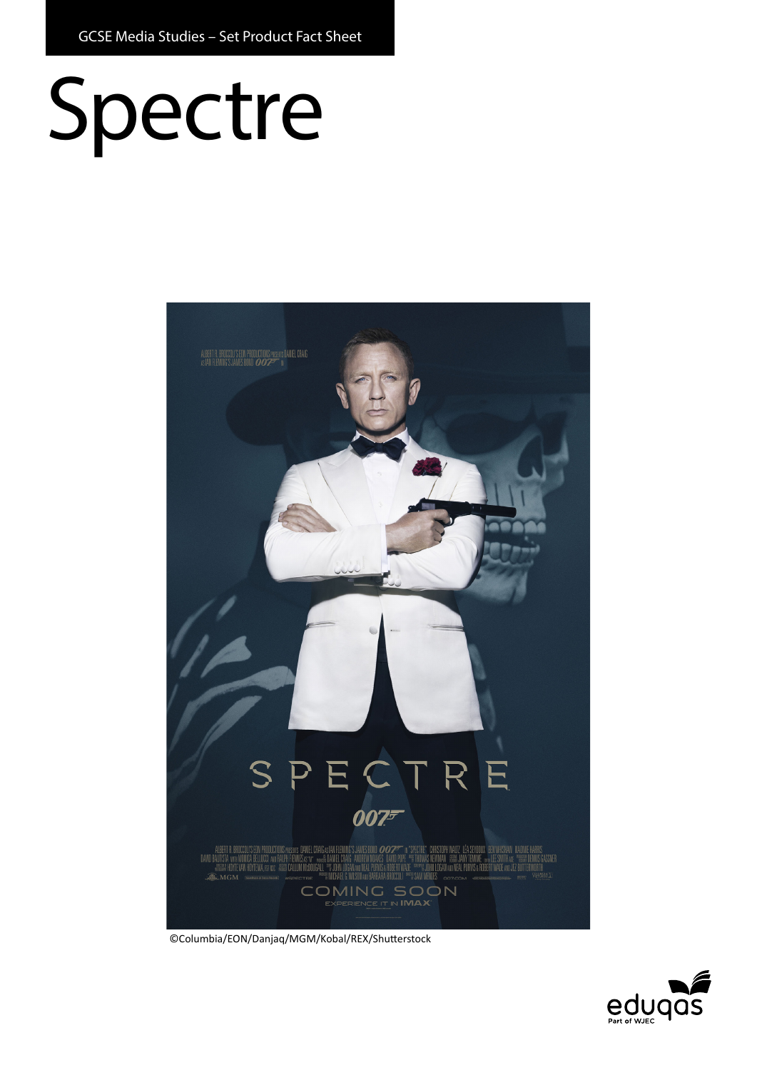# Spectre



©Columbia/EON/Danjaq/MGM/Kobal/REX/Shutterstock

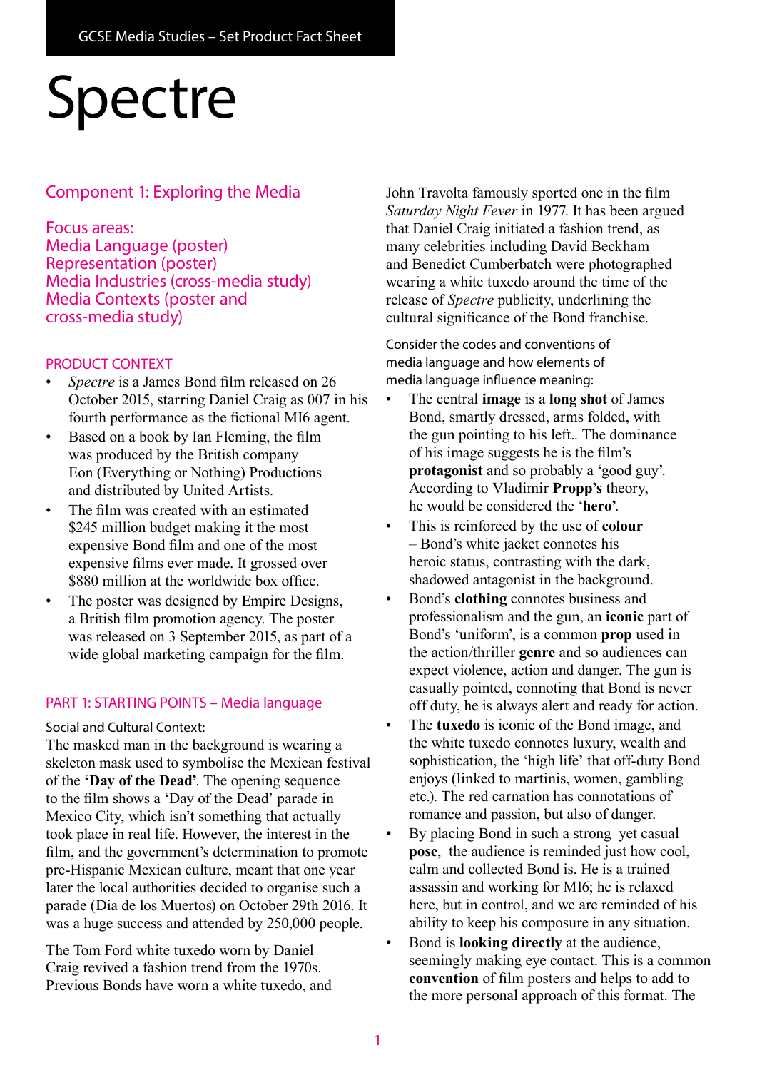# Spectre

# Component 1: Exploring the Media

#### Focus areas:

Media Language (poster) Representation (poster) Media Industries (cross-media study) Media Contexts (poster and cross-media study)

### PRODUCT CONTEXT

- *Spectre* is a James Bond film released on 26 October 2015, starring Daniel Craig as 007 in his fourth performance as the fictional MI6 agent.
- Based on a book by Ian Fleming, the film was produced by the British company Eon (Everything or Nothing) Productions and distributed by United Artists.
- The film was created with an estimated \$245 million budget making it the most expensive Bond film and one of the most expensive films ever made. It grossed over \$880 million at the worldwide box office.
- The poster was designed by Empire Designs, a British film promotion agency. The poster was released on 3 September 2015, as part of a wide global marketing campaign for the film.

#### PART 1: STARTING POINTS – Media language

#### Social and Cultural Context:

The masked man in the background is wearing a skeleton mask used to symbolise the Mexican festival of the **'Day of the Dead'**. The opening sequence to the film shows a 'Day of the Dead' parade in Mexico City, which isn't something that actually took place in real life. However, the interest in the film, and the government's determination to promote pre-Hispanic Mexican culture, meant that one year later the local authorities decided to organise such a parade (Dia de los Muertos) on October 29th 2016. It was a huge success and attended by 250,000 people.

The Tom Ford white tuxedo worn by Daniel Craig revived a fashion trend from the 1970s. Previous Bonds have worn a white tuxedo, and John Travolta famously sported one in the film *Saturday Night Fever* in 1977. It has been argued that Daniel Craig initiated a fashion trend, as many celebrities including David Beckham and Benedict Cumberbatch were photographed wearing a white tuxedo around the time of the release of *Spectre* publicity, underlining the cultural significance of the Bond franchise.

Consider the codes and conventions of media language and how elements of media language influence meaning:

- The central **image** is a **long shot** of James Bond, smartly dressed, arms folded, with the gun pointing to his left.. The dominance of his image suggests he is the film's **protagonist** and so probably a 'good guy'. According to Vladimir **Propp's** theory, he would be considered the '**hero'**.
- This is reinforced by the use of **colour** – Bond's white jacket connotes his heroic status, contrasting with the dark, shadowed antagonist in the background.
- Bond's **clothing** connotes business and professionalism and the gun, an **iconic** part of Bond's 'uniform', is a common **prop** used in the action/thriller **genre** and so audiences can expect violence, action and danger. The gun is casually pointed, connoting that Bond is never off duty, he is always alert and ready for action.
- The **tuxedo** is iconic of the Bond image, and the white tuxedo connotes luxury, wealth and sophistication, the 'high life' that off-duty Bond enjoys (linked to martinis, women, gambling etc.). The red carnation has connotations of romance and passion, but also of danger.
- By placing Bond in such a strong yet casual **pose**, the audience is reminded just how cool, calm and collected Bond is. He is a trained assassin and working for MI6; he is relaxed here, but in control, and we are reminded of his ability to keep his composure in any situation.
- Bond is **looking directly** at the audience, seemingly making eye contact. This is a common **convention** of film posters and helps to add to the more personal approach of this format. The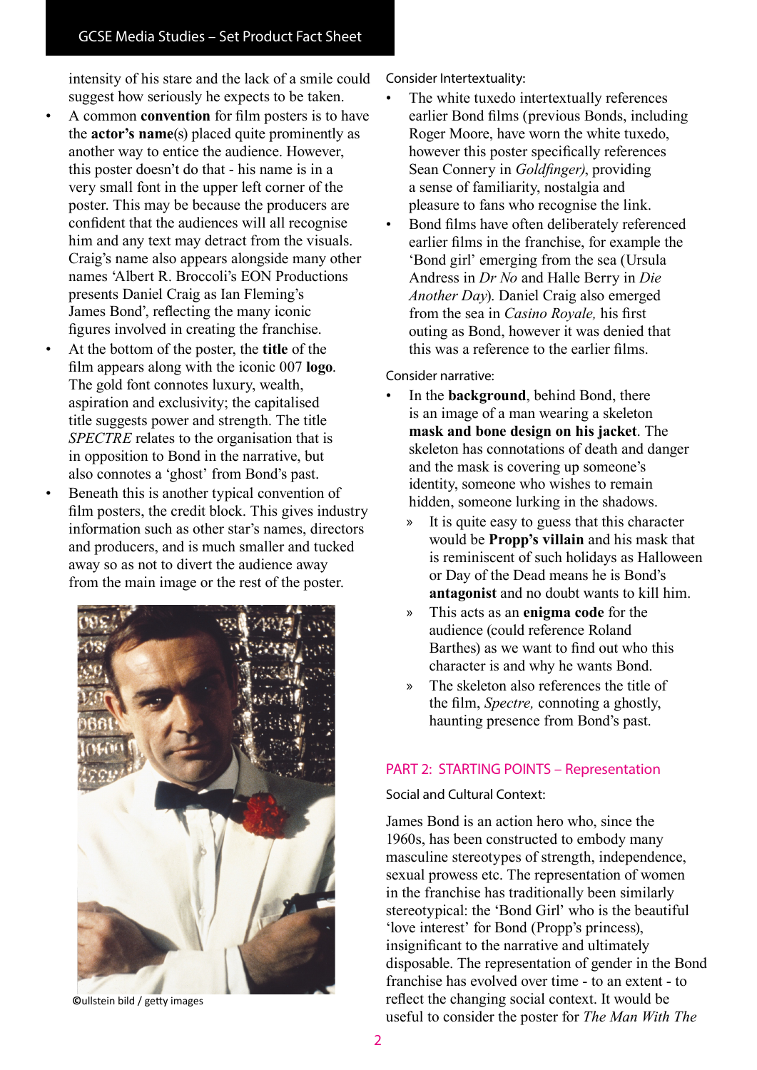intensity of his stare and the lack of a smile could suggest how seriously he expects to be taken.

- A common **convention** for film posters is to have the **actor's name**(s) placed quite prominently as another way to entice the audience. However, this poster doesn't do that - his name is in a very small font in the upper left corner of the poster. This may be because the producers are confident that the audiences will all recognise him and any text may detract from the visuals. Craig's name also appears alongside many other names 'Albert R. Broccoli's EON Productions presents Daniel Craig as Ian Fleming's James Bond', reflecting the many iconic figures involved in creating the franchise.
- At the bottom of the poster, the **title** of the film appears along with the iconic 007 **logo**. The gold font connotes luxury, wealth, aspiration and exclusivity; the capitalised title suggests power and strength. The title *SPECTRE* relates to the organisation that is in opposition to Bond in the narrative, but also connotes a 'ghost' from Bond's past.
- Beneath this is another typical convention of film posters, the credit block. This gives industry information such as other star's names, directors and producers, and is much smaller and tucked away so as not to divert the audience away from the main image or the rest of the poster.



**©**ullstein bild / getty images

Consider Intertextuality:

- The white tuxedo intertextually references earlier Bond films (previous Bonds, including Roger Moore, have worn the white tuxedo, however this poster specifically references Sean Connery in *Goldfinger)*, providing a sense of familiarity, nostalgia and pleasure to fans who recognise the link.
- Bond films have often deliberately referenced earlier films in the franchise, for example the 'Bond girl' emerging from the sea (Ursula Andress in *Dr No* and Halle Berry in *Die Another Day*). Daniel Craig also emerged from the sea in *Casino Royale,* his first outing as Bond, however it was denied that this was a reference to the earlier films.

Consider narrative:

- In the **background**, behind Bond, there is an image of a man wearing a skeleton **mask and bone design on his jacket**. The skeleton has connotations of death and danger and the mask is covering up someone's identity, someone who wishes to remain hidden, someone lurking in the shadows.
	- » It is quite easy to guess that this character would be **Propp's villain** and his mask that is reminiscent of such holidays as Halloween or Day of the Dead means he is Bond's **antagonist** and no doubt wants to kill him.
	- » This acts as an **enigma code** for the audience (could reference Roland Barthes) as we want to find out who this character is and why he wants Bond.
	- » The skeleton also references the title of the film, *Spectre,* connoting a ghostly, haunting presence from Bond's past.

#### PART 2: STARTING POINTS – Representation

Social and Cultural Context:

James Bond is an action hero who, since the 1960s, has been constructed to embody many masculine stereotypes of strength, independence, sexual prowess etc. The representation of women in the franchise has traditionally been similarly stereotypical: the 'Bond Girl' who is the beautiful 'love interest' for Bond (Propp's princess), insignificant to the narrative and ultimately disposable. The representation of gender in the Bond franchise has evolved over time - to an extent - to reflect the changing social context. It would be useful to consider the poster for *The Man With The*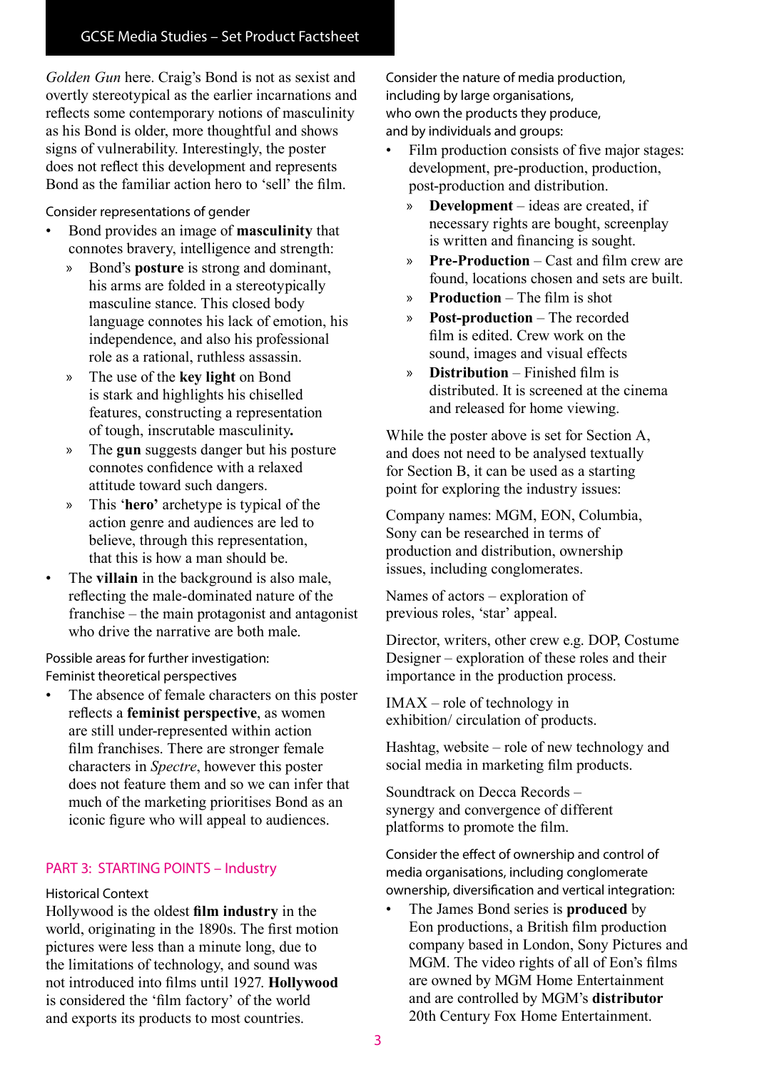*Golden Gun* here. Craig's Bond is not as sexist and overtly stereotypical as the earlier incarnations and reflects some contemporary notions of masculinity as his Bond is older, more thoughtful and shows signs of vulnerability. Interestingly, the poster does not reflect this development and represents Bond as the familiar action hero to 'sell' the film.

Consider representations of gender

- Bond provides an image of **masculinity** that connotes bravery, intelligence and strength:
	- » Bond's **posture** is strong and dominant, his arms are folded in a stereotypically masculine stance. This closed body language connotes his lack of emotion, his independence, and also his professional role as a rational, ruthless assassin.
	- » The use of the **key light** on Bond is stark and highlights his chiselled features, constructing a representation of tough, inscrutable masculinity**.**
	- » The **gun** suggests danger but his posture connotes confidence with a relaxed attitude toward such dangers.
	- » This '**hero'** archetype is typical of the action genre and audiences are led to believe, through this representation, that this is how a man should be.
- The **villain** in the background is also male, reflecting the male-dominated nature of the franchise – the main protagonist and antagonist who drive the narrative are both male.

Possible areas for further investigation: Feminist theoretical perspectives

The absence of female characters on this poster reflects a **feminist perspective**, as women are still under-represented within action film franchises. There are stronger female characters in *Spectre*, however this poster does not feature them and so we can infer that much of the marketing prioritises Bond as an iconic figure who will appeal to audiences.

## PART 3: STARTING POINTS – Industry

#### Historical Context

Hollywood is the oldest **film industry** in the world, originating in the 1890s. The first motion pictures were less than a minute long, due to the limitations of technology, and sound was not introduced into films until 1927. **Hollywood** is considered the 'film factory' of the world and exports its products to most countries.

Consider the nature of media production, including by large organisations, who own the products they produce, and by individuals and groups:

- Film production consists of five major stages: development, pre-production, production, post-production and distribution.
	- » **Development** ideas are created, if necessary rights are bought, screenplay is written and financing is sought.
	- » **Pre-Production**  Cast and film crew are found, locations chosen and sets are built.
	- » **Production** The film is shot
	- » **Post-production** The recorded film is edited. Crew work on the sound, images and visual effects
	- » **Distribution** Finished film is distributed. It is screened at the cinema and released for home viewing.

While the poster above is set for Section A, and does not need to be analysed textually for Section B, it can be used as a starting point for exploring the industry issues:

Company names: MGM, EON, Columbia, Sony can be researched in terms of production and distribution, ownership issues, including conglomerates.

Names of actors – exploration of previous roles, 'star' appeal.

Director, writers, other crew e.g. DOP, Costume Designer – exploration of these roles and their importance in the production process.

IMAX – role of technology in exhibition/ circulation of products.

Hashtag, website – role of new technology and social media in marketing film products.

Soundtrack on Decca Records – synergy and convergence of different platforms to promote the film.

Consider the effect of ownership and control of media organisations, including conglomerate ownership, diversification and vertical integration:

• The James Bond series is **produced** by Eon productions, a British film production company based in London, Sony Pictures and MGM. The video rights of all of Eon's films are owned by MGM Home Entertainment and are controlled by MGM's **distributor** 20th Century Fox Home Entertainment.